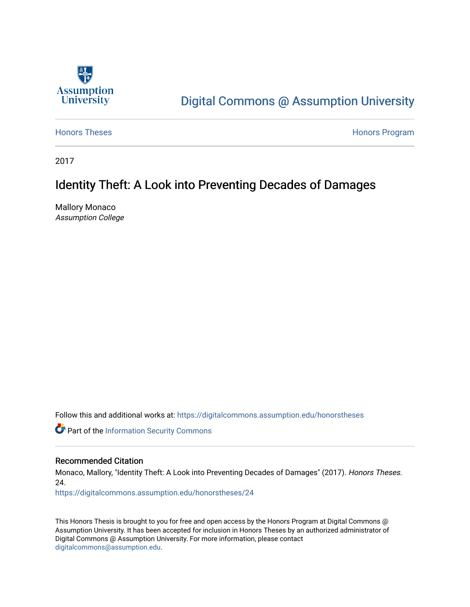

# [Digital Commons @ Assumption University](https://digitalcommons.assumption.edu/)

[Honors Theses](https://digitalcommons.assumption.edu/honorstheses) **Honors** Program

2017

# Identity Theft: A Look into Preventing Decades of Damages

Mallory Monaco Assumption College

Follow this and additional works at: [https://digitalcommons.assumption.edu/honorstheses](https://digitalcommons.assumption.edu/honorstheses?utm_source=digitalcommons.assumption.edu%2Fhonorstheses%2F24&utm_medium=PDF&utm_campaign=PDFCoverPages)

Part of the [Information Security Commons](http://network.bepress.com/hgg/discipline/1247?utm_source=digitalcommons.assumption.edu%2Fhonorstheses%2F24&utm_medium=PDF&utm_campaign=PDFCoverPages) 

## Recommended Citation

Monaco, Mallory, "Identity Theft: A Look into Preventing Decades of Damages" (2017). Honors Theses. 24.

[https://digitalcommons.assumption.edu/honorstheses/24](https://digitalcommons.assumption.edu/honorstheses/24?utm_source=digitalcommons.assumption.edu%2Fhonorstheses%2F24&utm_medium=PDF&utm_campaign=PDFCoverPages) 

This Honors Thesis is brought to you for free and open access by the Honors Program at Digital Commons @ Assumption University. It has been accepted for inclusion in Honors Theses by an authorized administrator of Digital Commons @ Assumption University. For more information, please contact [digitalcommons@assumption.edu](mailto:digitalcommons@assumption.edu).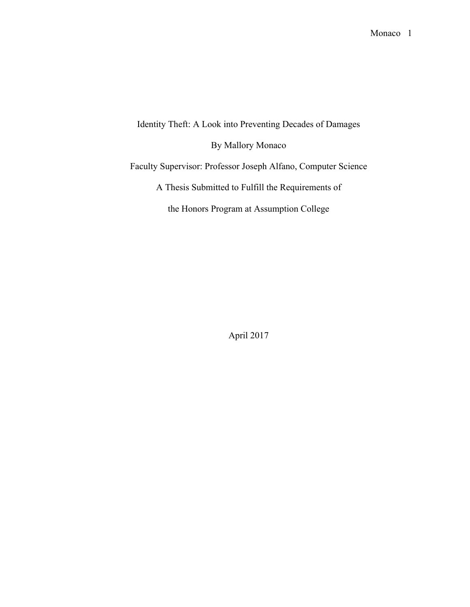Identity Theft: A Look into Preventing Decades of Damages

By Mallory Monaco

Faculty Supervisor: Professor Joseph Alfano, Computer Science

A Thesis Submitted to Fulfill the Requirements of

the Honors Program at Assumption College

April 2017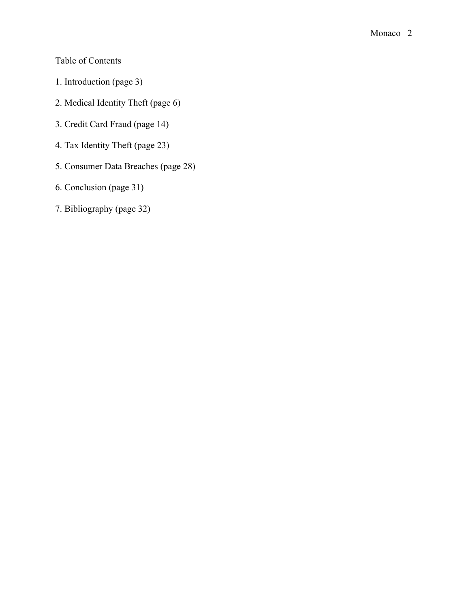Table of Contents

- 1. Introduction (page 3)
- 2. Medical Identity Theft (page 6)
- 3. Credit Card Fraud (page 14)
- 4. Tax Identity Theft (page 23)
- 5. Consumer Data Breaches (page 28)
- 6. Conclusion (page 31)
- 7. Bibliography (page 32)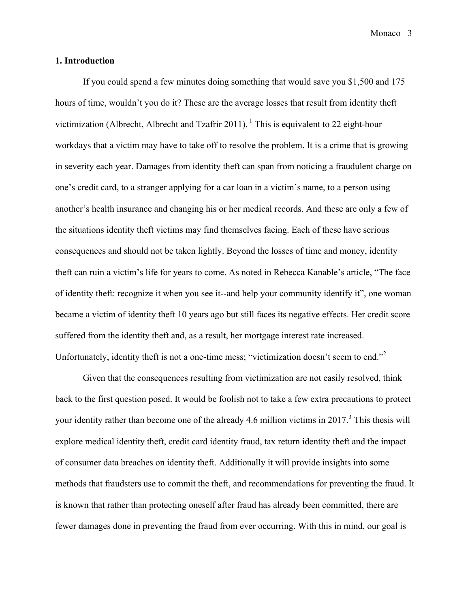#### **1. Introduction**

If you could spend a few minutes doing something that would save you \$1,500 and 175 hours of time, wouldn't you do it? These are the average losses that result from identity theft victimization (Albrecht, Albrecht and Tzafrir 2011). <sup>1</sup> This is equivalent to 22 eight-hour workdays that a victim may have to take off to resolve the problem. It is a crime that is growing in severity each year. Damages from identity theft can span from noticing a fraudulent charge on one's credit card, to a stranger applying for a car loan in a victim's name, to a person using another's health insurance and changing his or her medical records. And these are only a few of the situations identity theft victims may find themselves facing. Each of these have serious consequences and should not be taken lightly. Beyond the losses of time and money, identity theft can ruin a victim's life for years to come. As noted in Rebecca Kanable's article, "The face of identity theft: recognize it when you see it--and help your community identify it", one woman became a victim of identity theft 10 years ago but still faces its negative effects. Her credit score suffered from the identity theft and, as a result, her mortgage interest rate increased. Unfortunately, identity theft is not a one-time mess; "victimization doesn't seem to end."<sup>2</sup>

Given that the consequences resulting from victimization are not easily resolved, think back to the first question posed. It would be foolish not to take a few extra precautions to protect your identity rather than become one of the already 4.6 million victims in 2017.<sup>3</sup> This thesis will explore medical identity theft, credit card identity fraud, tax return identity theft and the impact of consumer data breaches on identity theft. Additionally it will provide insights into some methods that fraudsters use to commit the theft, and recommendations for preventing the fraud. It is known that rather than protecting oneself after fraud has already been committed, there are fewer damages done in preventing the fraud from ever occurring. With this in mind, our goal is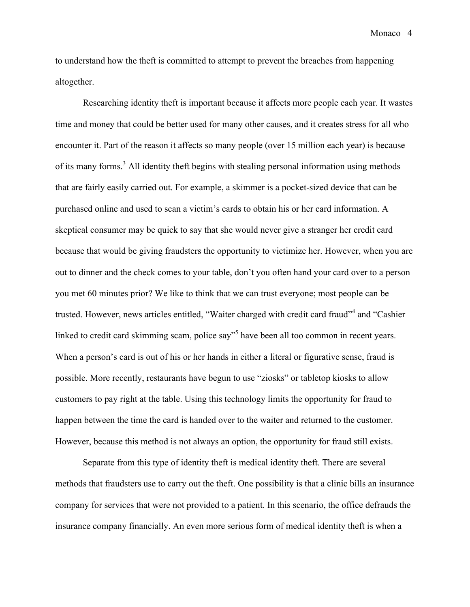to understand how the theft is committed to attempt to prevent the breaches from happening altogether.

Researching identity theft is important because it affects more people each year. It wastes time and money that could be better used for many other causes, and it creates stress for all who encounter it. Part of the reason it affects so many people (over 15 million each year) is because of its many forms.<sup>3</sup> All identity theft begins with stealing personal information using methods that are fairly easily carried out. For example, a skimmer is a pocket-sized device that can be purchased online and used to scan a victim's cards to obtain his or her card information. A skeptical consumer may be quick to say that she would never give a stranger her credit card because that would be giving fraudsters the opportunity to victimize her. However, when you are out to dinner and the check comes to your table, don't you often hand your card over to a person you met 60 minutes prior? We like to think that we can trust everyone; most people can be trusted. However, news articles entitled, "Waiter charged with credit card fraud"<sup>4</sup> and "Cashier linked to credit card skimming scam, police say<sup>35</sup> have been all too common in recent years. When a person's card is out of his or her hands in either a literal or figurative sense, fraud is possible. More recently, restaurants have begun to use "ziosks" or tabletop kiosks to allow customers to pay right at the table. Using this technology limits the opportunity for fraud to happen between the time the card is handed over to the waiter and returned to the customer. However, because this method is not always an option, the opportunity for fraud still exists.

Separate from this type of identity theft is medical identity theft. There are several methods that fraudsters use to carry out the theft. One possibility is that a clinic bills an insurance company for services that were not provided to a patient. In this scenario, the office defrauds the insurance company financially. An even more serious form of medical identity theft is when a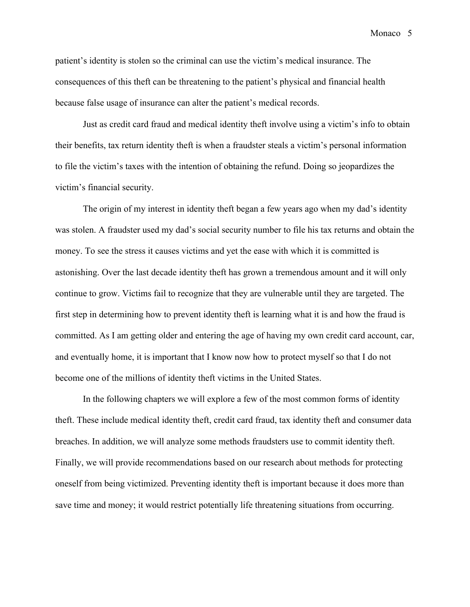Monaco<sub>5</sub>

patient's identity is stolen so the criminal can use the victim's medical insurance. The consequences of this theft can be threatening to the patient's physical and financial health because false usage of insurance can alter the patient's medical records.

Just as credit card fraud and medical identity theft involve using a victim's info to obtain their benefits, tax return identity theft is when a fraudster steals a victim's personal information to file the victim's taxes with the intention of obtaining the refund. Doing so jeopardizes the victim's financial security.

The origin of my interest in identity theft began a few years ago when my dad's identity was stolen. A fraudster used my dad's social security number to file his tax returns and obtain the money. To see the stress it causes victims and yet the ease with which it is committed is astonishing. Over the last decade identity theft has grown a tremendous amount and it will only continue to grow. Victims fail to recognize that they are vulnerable until they are targeted. The first step in determining how to prevent identity theft is learning what it is and how the fraud is committed. As I am getting older and entering the age of having my own credit card account, car, and eventually home, it is important that I know now how to protect myself so that I do not become one of the millions of identity theft victims in the United States.

In the following chapters we will explore a few of the most common forms of identity theft. These include medical identity theft, credit card fraud, tax identity theft and consumer data breaches. In addition, we will analyze some methods fraudsters use to commit identity theft. Finally, we will provide recommendations based on our research about methods for protecting oneself from being victimized. Preventing identity theft is important because it does more than save time and money; it would restrict potentially life threatening situations from occurring.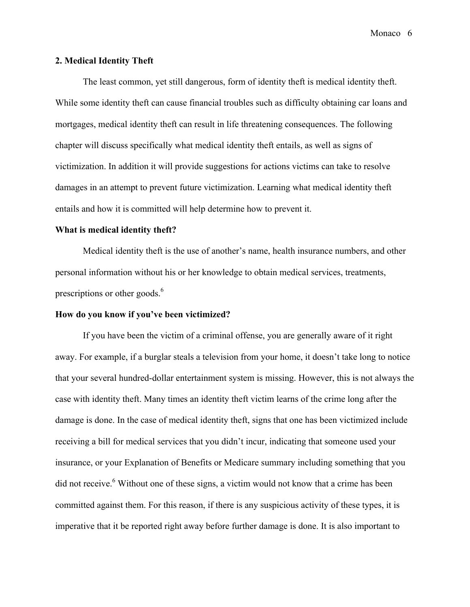### **2. Medical Identity Theft**

The least common, yet still dangerous, form of identity theft is medical identity theft. While some identity theft can cause financial troubles such as difficulty obtaining car loans and mortgages, medical identity theft can result in life threatening consequences. The following chapter will discuss specifically what medical identity theft entails, as well as signs of victimization. In addition it will provide suggestions for actions victims can take to resolve damages in an attempt to prevent future victimization. Learning what medical identity theft entails and how it is committed will help determine how to prevent it.

#### **What is medical identity theft?**

Medical identity theft is the use of another's name, health insurance numbers, and other personal information without his or her knowledge to obtain medical services, treatments, prescriptions or other goods.<sup>6</sup>

#### **How do you know if you've been victimized?**

If you have been the victim of a criminal offense, you are generally aware of it right away. For example, if a burglar steals a television from your home, it doesn't take long to notice that your several hundred-dollar entertainment system is missing. However, this is not always the case with identity theft. Many times an identity theft victim learns of the crime long after the damage is done. In the case of medical identity theft, signs that one has been victimized include receiving a bill for medical services that you didn't incur, indicating that someone used your insurance, or your Explanation of Benefits or Medicare summary including something that you did not receive.<sup>6</sup> Without one of these signs, a victim would not know that a crime has been committed against them. For this reason, if there is any suspicious activity of these types, it is imperative that it be reported right away before further damage is done. It is also important to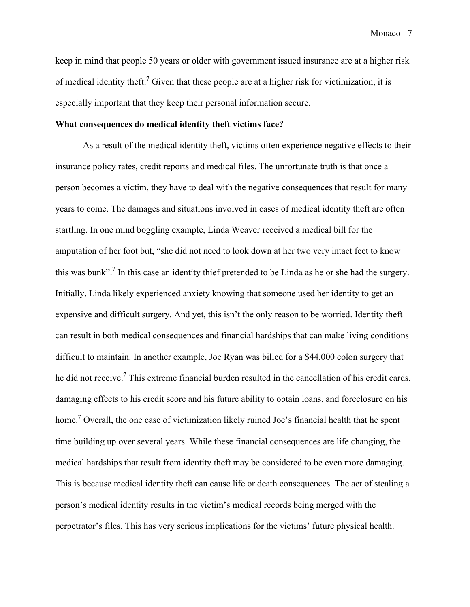keep in mind that people 50 years or older with government issued insurance are at a higher risk of medical identity theft.<sup>7</sup> Given that these people are at a higher risk for victimization, it is especially important that they keep their personal information secure.

#### **What consequences do medical identity theft victims face?**

As a result of the medical identity theft, victims often experience negative effects to their insurance policy rates, credit reports and medical files. The unfortunate truth is that once a person becomes a victim, they have to deal with the negative consequences that result for many years to come. The damages and situations involved in cases of medical identity theft are often startling. In one mind boggling example, Linda Weaver received a medical bill for the amputation of her foot but, "she did not need to look down at her two very intact feet to know this was bunk".<sup>7</sup> In this case an identity thief pretended to be Linda as he or she had the surgery. Initially, Linda likely experienced anxiety knowing that someone used her identity to get an expensive and difficult surgery. And yet, this isn't the only reason to be worried. Identity theft can result in both medical consequences and financial hardships that can make living conditions difficult to maintain. In another example, Joe Ryan was billed for a \$44,000 colon surgery that he did not receive.<sup>7</sup> This extreme financial burden resulted in the cancellation of his credit cards, damaging effects to his credit score and his future ability to obtain loans, and foreclosure on his home.<sup>7</sup> Overall, the one case of victimization likely ruined Joe's financial health that he spent time building up over several years. While these financial consequences are life changing, the medical hardships that result from identity theft may be considered to be even more damaging. This is because medical identity theft can cause life or death consequences. The act of stealing a person's medical identity results in the victim's medical records being merged with the perpetrator's files. This has very serious implications for the victims' future physical health.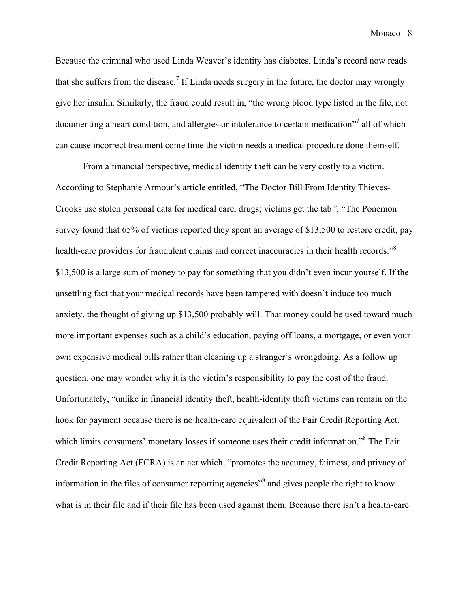Because the criminal who used Linda Weaver's identity has diabetes, Linda's record now reads that she suffers from the disease.<sup>7</sup> If Linda needs surgery in the future, the doctor may wrongly give her insulin. Similarly, the fraud could result in, "the wrong blood type listed in the file, not documenting a heart condition, and allergies or intolerance to certain medication"<sup>7</sup> all of which can cause incorrect treatment come time the victim needs a medical procedure done themself.

From a financial perspective, medical identity theft can be very costly to a victim. According to Stephanie Armour's article entitled, "The Doctor Bill From Identity Thieves-Crooks use stolen personal data for medical care, drugs; victims get the tab*",* "The Ponemon survey found that 65% of victims reported they spent an average of \$13,500 to restore credit, pay health-care providers for fraudulent claims and correct inaccuracies in their health records."<sup>8</sup> \$13,500 is a large sum of money to pay for something that you didn't even incur yourself. If the unsettling fact that your medical records have been tampered with doesn't induce too much anxiety, the thought of giving up \$13,500 probably will. That money could be used toward much more important expenses such as a child's education, paying off loans, a mortgage, or even your own expensive medical bills rather than cleaning up a stranger's wrongdoing. As a follow up question, one may wonder why it is the victim's responsibility to pay the cost of the fraud. Unfortunately, "unlike in financial identity theft, health-identity theft victims can remain on the hook for payment because there is no health-care equivalent of the Fair Credit Reporting Act, which limits consumers' monetary losses if someone uses their credit information."<sup>8</sup> The Fair Credit Reporting Act (FCRA) is an act which, "promotes the accuracy, fairness, and privacy of information in the files of consumer reporting agencies<sup>"9</sup> and gives people the right to know what is in their file and if their file has been used against them. Because there isn't a health-care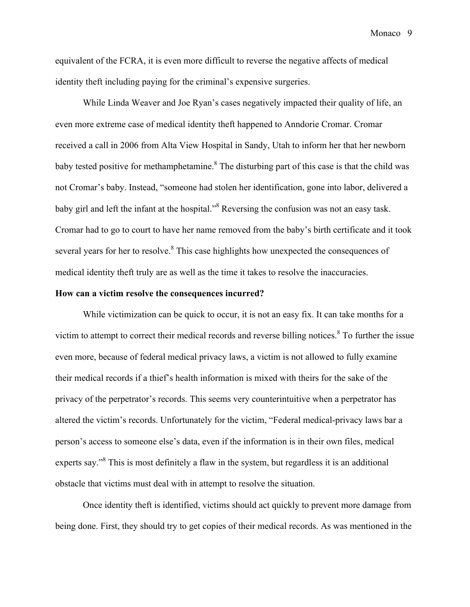equivalent of the FCRA, it is even more difficult to reverse the negative affects of medical identity theft including paying for the criminal's expensive surgeries.

While Linda Weaver and Joe Ryan's cases negatively impacted their quality of life, an even more extreme case of medical identity theft happened to Anndorie Cromar. Cromar received a call in 2006 from Alta View Hospital in Sandy, Utah to inform her that her newborn baby tested positive for methamphetamine.<sup>8</sup> The disturbing part of this case is that the child was not Cromar's baby. Instead, "someone had stolen her identification, gone into labor, delivered a baby girl and left the infant at the hospital.<sup>8</sup> Reversing the confusion was not an easy task. Cromar had to go to court to have her name removed from the baby's birth certificate and it took several years for her to resolve.<sup>8</sup> This case highlights how unexpected the consequences of medical identity theft truly are as well as the time it takes to resolve the inaccuracies.

#### **How can a victim resolve the consequences incurred?**

While victimization can be quick to occur, it is not an easy fix. It can take months for a victim to attempt to correct their medical records and reverse billing notices. <sup>8</sup> To further the issue even more, because of federal medical privacy laws, a victim is not allowed to fully examine their medical records if a thief's health information is mixed with theirs for the sake of the privacy of the perpetrator's records. This seems very counterintuitive when a perpetrator has altered the victim's records. Unfortunately for the victim, "Federal medical-privacy laws bar a person's access to someone else's data, even if the information is in their own files, medical experts say."<sup>8</sup> This is most definitely a flaw in the system, but regardless it is an additional obstacle that victims must deal with in attempt to resolve the situation.

Once identity theft is identified, victims should act quickly to prevent more damage from being done. First, they should try to get copies of their medical records. As was mentioned in the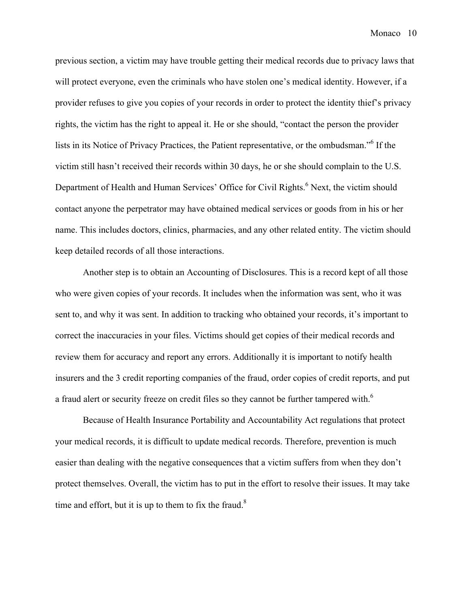previous section, a victim may have trouble getting their medical records due to privacy laws that will protect everyone, even the criminals who have stolen one's medical identity. However, if a provider refuses to give you copies of your records in order to protect the identity thief's privacy rights, the victim has the right to appeal it. He or she should, "contact the person the provider lists in its Notice of Privacy Practices, the Patient representative, or the ombudsman."<sup>6</sup> If the victim still hasn't received their records within 30 days, he or she should complain to the U.S. Department of Health and Human Services' Office for Civil Rights.<sup>6</sup> Next, the victim should contact anyone the perpetrator may have obtained medical services or goods from in his or her name. This includes doctors, clinics, pharmacies, and any other related entity. The victim should keep detailed records of all those interactions.

Another step is to obtain an Accounting of Disclosures. This is a record kept of all those who were given copies of your records. It includes when the information was sent, who it was sent to, and why it was sent. In addition to tracking who obtained your records, it's important to correct the inaccuracies in your files. Victims should get copies of their medical records and review them for accuracy and report any errors. Additionally it is important to notify health insurers and the 3 credit reporting companies of the fraud, order copies of credit reports, and put a fraud alert or security freeze on credit files so they cannot be further tampered with.<sup>6</sup>

Because of Health Insurance Portability and Accountability Act regulations that protect your medical records, it is difficult to update medical records. Therefore, prevention is much easier than dealing with the negative consequences that a victim suffers from when they don't protect themselves. Overall, the victim has to put in the effort to resolve their issues. It may take time and effort, but it is up to them to fix the fraud. $8$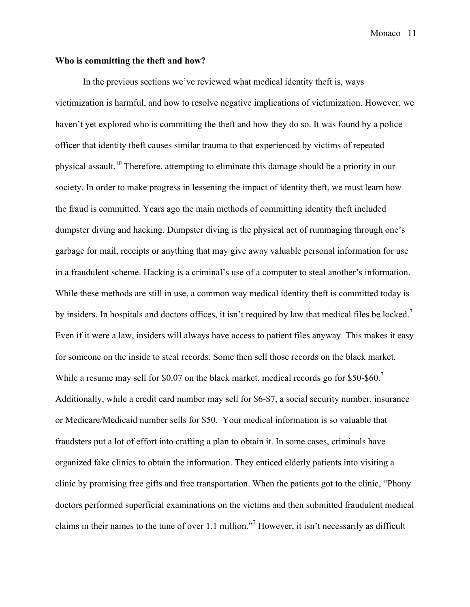# **Who is committing the theft and how?**

In the previous sections we've reviewed what medical identity theft is, ways victimization is harmful, and how to resolve negative implications of victimization. However, we haven't yet explored who is committing the theft and how they do so. It was found by a police officer that identity theft causes similar trauma to that experienced by victims of repeated physical assault.<sup>10</sup> Therefore, attempting to eliminate this damage should be a priority in our society. In order to make progress in lessening the impact of identity theft, we must learn how the fraud is committed. Years ago the main methods of committing identity theft included dumpster diving and hacking. Dumpster diving is the physical act of rummaging through one's garbage for mail, receipts or anything that may give away valuable personal information for use in a fraudulent scheme. Hacking is a criminal's use of a computer to steal another's information. While these methods are still in use, a common way medical identity theft is committed today is by insiders. In hospitals and doctors offices, it isn't required by law that medical files be locked.<sup>7</sup> Even if it were a law, insiders will always have access to patient files anyway. This makes it easy for someone on the inside to steal records. Some then sell those records on the black market. While a resume may sell for \$0.07 on the black market, medical records go for \$50-\$60.<sup>7</sup> Additionally, while a credit card number may sell for \$6-\$7, a social security number, insurance or Medicare/Medicaid number sells for \$50. Your medical information is so valuable that fraudsters put a lot of effort into crafting a plan to obtain it. In some cases, criminals have organized fake clinics to obtain the information. They enticed elderly patients into visiting a clinic by promising free gifts and free transportation. When the patients got to the clinic, "Phony doctors performed superficial examinations on the victims and then submitted fraudulent medical claims in their names to the tune of over 1.1 million." <sup>7</sup> However, it isn't necessarily as difficult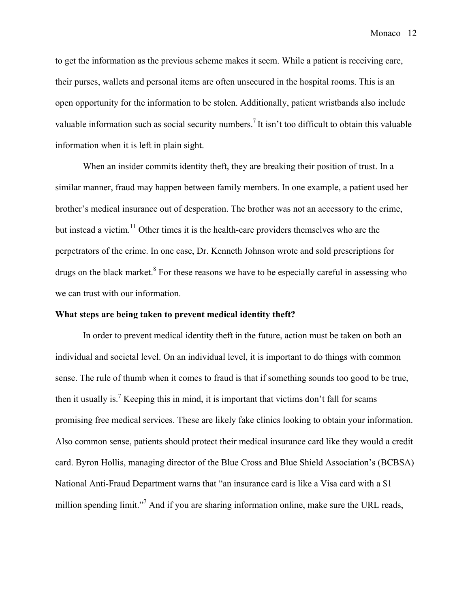to get the information as the previous scheme makes it seem. While a patient is receiving care, their purses, wallets and personal items are often unsecured in the hospital rooms. This is an open opportunity for the information to be stolen. Additionally, patient wristbands also include valuable information such as social security numbers.<sup>7</sup> It isn't too difficult to obtain this valuable information when it is left in plain sight.

When an insider commits identity theft, they are breaking their position of trust. In a similar manner, fraud may happen between family members. In one example, a patient used her brother's medical insurance out of desperation. The brother was not an accessory to the crime, but instead a victim.<sup>11</sup> Other times it is the health-care providers themselves who are the perpetrators of the crime. In one case, Dr. Kenneth Johnson wrote and sold prescriptions for drugs on the black market.<sup>8</sup> For these reasons we have to be especially careful in assessing who we can trust with our information.

#### **What steps are being taken to prevent medical identity theft?**

In order to prevent medical identity theft in the future, action must be taken on both an individual and societal level. On an individual level, it is important to do things with common sense. The rule of thumb when it comes to fraud is that if something sounds too good to be true, then it usually is.<sup>7</sup> Keeping this in mind, it is important that victims don't fall for scams promising free medical services. These are likely fake clinics looking to obtain your information. Also common sense, patients should protect their medical insurance card like they would a credit card. Byron Hollis, managing director of the Blue Cross and Blue Shield Association's (BCBSA) National Anti-Fraud Department warns that "an insurance card is like a Visa card with a \$1 million spending limit."<sup>7</sup> And if you are sharing information online, make sure the URL reads,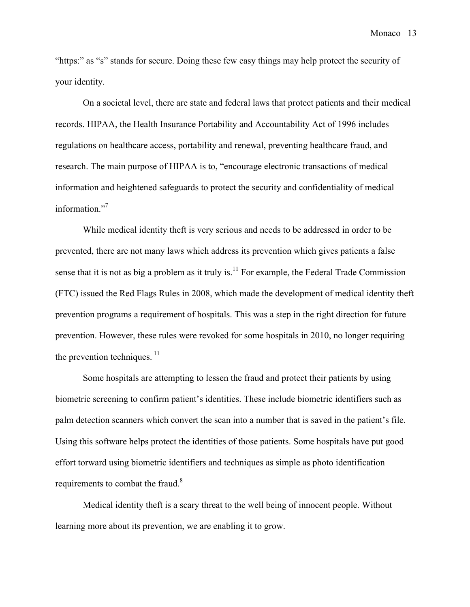"https:" as "s" stands for secure. Doing these few easy things may help protect the security of your identity.

On a societal level, there are state and federal laws that protect patients and their medical records. HIPAA, the Health Insurance Portability and Accountability Act of 1996 includes regulations on healthcare access, portability and renewal, preventing healthcare fraud, and research. The main purpose of HIPAA is to, "encourage electronic transactions of medical information and heightened safeguards to protect the security and confidentiality of medical information."<sup>7</sup>

While medical identity theft is very serious and needs to be addressed in order to be prevented, there are not many laws which address its prevention which gives patients a false sense that it is not as big a problem as it truly is.<sup>11</sup> For example, the Federal Trade Commission (FTC) issued the Red Flags Rules in 2008, which made the development of medical identity theft prevention programs a requirement of hospitals. This was a step in the right direction for future prevention. However, these rules were revoked for some hospitals in 2010, no longer requiring the prevention techniques.  $\frac{11}{1}$ 

Some hospitals are attempting to lessen the fraud and protect their patients by using biometric screening to confirm patient's identities. These include biometric identifiers such as palm detection scanners which convert the scan into a number that is saved in the patient's file. Using this software helps protect the identities of those patients. Some hospitals have put good effort torward using biometric identifiers and techniques as simple as photo identification requirements to combat the fraud.<sup>8</sup>

Medical identity theft is a scary threat to the well being of innocent people. Without learning more about its prevention, we are enabling it to grow.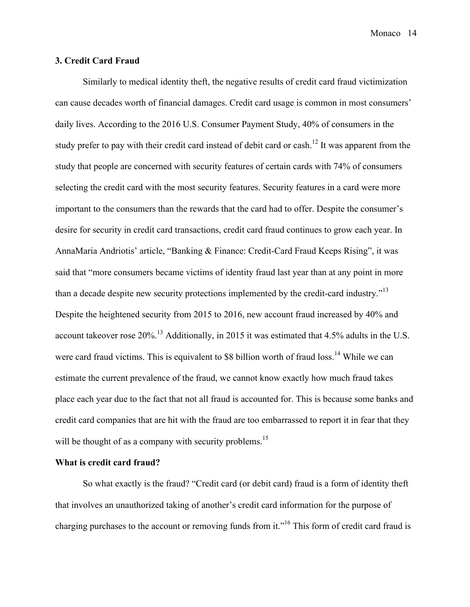#### **3. Credit Card Fraud**

Similarly to medical identity theft, the negative results of credit card fraud victimization can cause decades worth of financial damages. Credit card usage is common in most consumers' daily lives. According to the 2016 U.S. Consumer Payment Study, 40% of consumers in the study prefer to pay with their credit card instead of debit card or cash.<sup>12</sup> It was apparent from the study that people are concerned with security features of certain cards with 74% of consumers selecting the credit card with the most security features. Security features in a card were more important to the consumers than the rewards that the card had to offer. Despite the consumer's desire for security in credit card transactions, credit card fraud continues to grow each year. In AnnaMaria Andriotis' article, "Banking & Finance: Credit-Card Fraud Keeps Rising", it was said that "more consumers became victims of identity fraud last year than at any point in more than a decade despite new security protections implemented by the credit-card industry."<sup>13</sup> Despite the heightened security from 2015 to 2016, new account fraud increased by 40% and account takeover rose  $20\%$ .<sup>13</sup> Additionally, in 2015 it was estimated that 4.5% adults in the U.S. were card fraud victims. This is equivalent to \$8 billion worth of fraud loss.<sup>14</sup> While we can estimate the current prevalence of the fraud, we cannot know exactly how much fraud takes place each year due to the fact that not all fraud is accounted for. This is because some banks and credit card companies that are hit with the fraud are too embarrassed to report it in fear that they will be thought of as a company with security problems.<sup>15</sup>

#### **What is credit card fraud?**

So what exactly is the fraud? "Credit card (or debit card) fraud is a form of identity theft that involves an unauthorized taking of another's credit card information for the purpose of charging purchases to the account or removing funds from it."<sup>16</sup> This form of credit card fraud is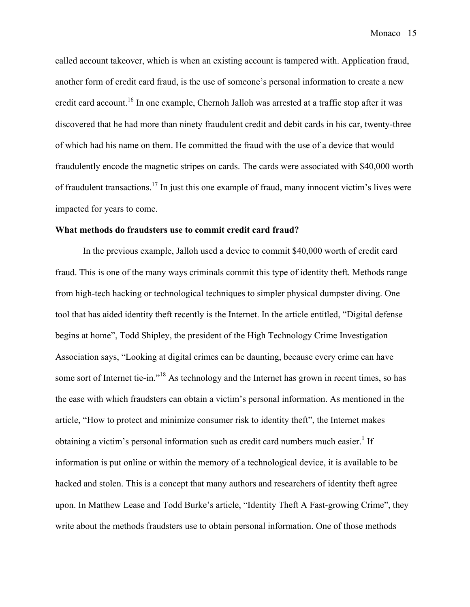called account takeover, which is when an existing account is tampered with. Application fraud, another form of credit card fraud, is the use of someone's personal information to create a new credit card account.<sup>16</sup> In one example, Chernoh Jalloh was arrested at a traffic stop after it was discovered that he had more than ninety fraudulent credit and debit cards in his car, twenty-three of which had his name on them. He committed the fraud with the use of a device that would fraudulently encode the magnetic stripes on cards. The cards were associated with \$40,000 worth of fraudulent transactions.<sup>17</sup> In just this one example of fraud, many innocent victim's lives were impacted for years to come.

#### **What methods do fraudsters use to commit credit card fraud?**

In the previous example, Jalloh used a device to commit \$40,000 worth of credit card fraud. This is one of the many ways criminals commit this type of identity theft. Methods range from high-tech hacking or technological techniques to simpler physical dumpster diving. One tool that has aided identity theft recently is the Internet. In the article entitled, "Digital defense begins at home", Todd Shipley, the president of the High Technology Crime Investigation Association says, "Looking at digital crimes can be daunting, because every crime can have some sort of Internet tie-in."<sup>18</sup> As technology and the Internet has grown in recent times, so has the ease with which fraudsters can obtain a victim's personal information. As mentioned in the article, "How to protect and minimize consumer risk to identity theft", the Internet makes obtaining a victim's personal information such as credit card numbers much easier.<sup>1</sup> If information is put online or within the memory of a technological device, it is available to be hacked and stolen. This is a concept that many authors and researchers of identity theft agree upon. In Matthew Lease and Todd Burke's article, "Identity Theft A Fast-growing Crime", they write about the methods fraudsters use to obtain personal information. One of those methods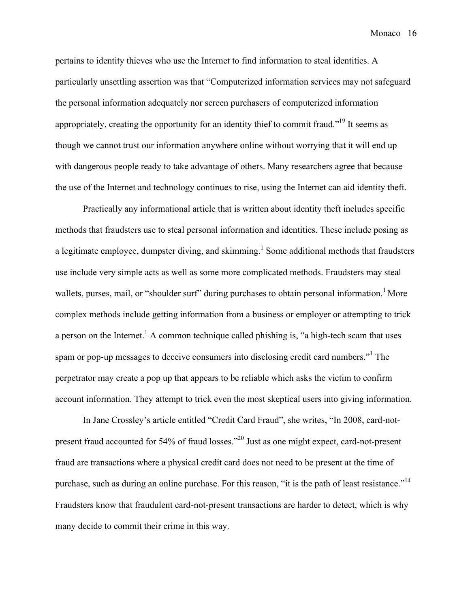pertains to identity thieves who use the Internet to find information to steal identities. A particularly unsettling assertion was that "Computerized information services may not safeguard the personal information adequately nor screen purchasers of computerized information appropriately, creating the opportunity for an identity thief to commit fraud."<sup>19</sup> It seems as though we cannot trust our information anywhere online without worrying that it will end up with dangerous people ready to take advantage of others. Many researchers agree that because the use of the Internet and technology continues to rise, using the Internet can aid identity theft.

Practically any informational article that is written about identity theft includes specific methods that fraudsters use to steal personal information and identities. These include posing as a legitimate employee, dumpster diving, and skimming.<sup>1</sup> Some additional methods that fraudsters use include very simple acts as well as some more complicated methods. Fraudsters may steal wallets, purses, mail, or "shoulder surf" during purchases to obtain personal information.<sup>1</sup> More complex methods include getting information from a business or employer or attempting to trick a person on the Internet.<sup>1</sup> A common technique called phishing is, "a high-tech scam that uses spam or pop-up messages to deceive consumers into disclosing credit card numbers."<sup>1</sup> The perpetrator may create a pop up that appears to be reliable which asks the victim to confirm account information. They attempt to trick even the most skeptical users into giving information.

In Jane Crossley's article entitled "Credit Card Fraud", she writes, "In 2008, card-notpresent fraud accounted for 54% of fraud losses."<sup>20</sup> Just as one might expect, card-not-present fraud are transactions where a physical credit card does not need to be present at the time of purchase, such as during an online purchase. For this reason, "it is the path of least resistance."<sup>14</sup> Fraudsters know that fraudulent card-not-present transactions are harder to detect, which is why many decide to commit their crime in this way.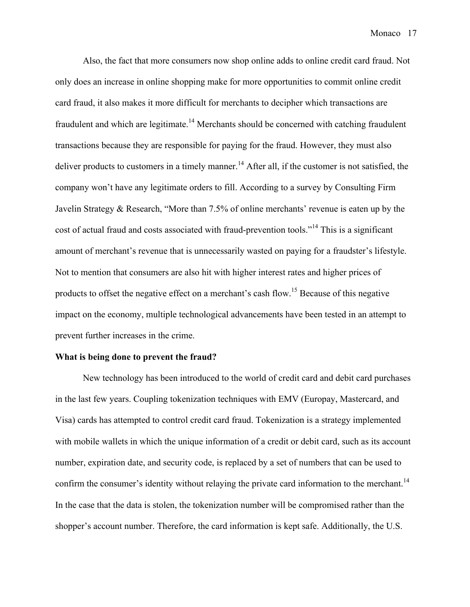Also, the fact that more consumers now shop online adds to online credit card fraud. Not only does an increase in online shopping make for more opportunities to commit online credit card fraud, it also makes it more difficult for merchants to decipher which transactions are fraudulent and which are legitimate.<sup>14</sup> Merchants should be concerned with catching fraudulent transactions because they are responsible for paying for the fraud. However, they must also deliver products to customers in a timely manner.<sup>14</sup> After all, if the customer is not satisfied, the company won't have any legitimate orders to fill. According to a survey by Consulting Firm Javelin Strategy & Research, "More than 7.5% of online merchants' revenue is eaten up by the cost of actual fraud and costs associated with fraud-prevention tools."14 This is a significant amount of merchant's revenue that is unnecessarily wasted on paying for a fraudster's lifestyle. Not to mention that consumers are also hit with higher interest rates and higher prices of products to offset the negative effect on a merchant's cash flow.<sup>15</sup> Because of this negative impact on the economy, multiple technological advancements have been tested in an attempt to prevent further increases in the crime.

#### **What is being done to prevent the fraud?**

New technology has been introduced to the world of credit card and debit card purchases in the last few years. Coupling tokenization techniques with EMV (Europay, Mastercard, and Visa) cards has attempted to control credit card fraud. Tokenization is a strategy implemented with mobile wallets in which the unique information of a credit or debit card, such as its account number, expiration date, and security code, is replaced by a set of numbers that can be used to confirm the consumer's identity without relaying the private card information to the merchant.<sup>14</sup> In the case that the data is stolen, the tokenization number will be compromised rather than the shopper's account number. Therefore, the card information is kept safe. Additionally, the U.S.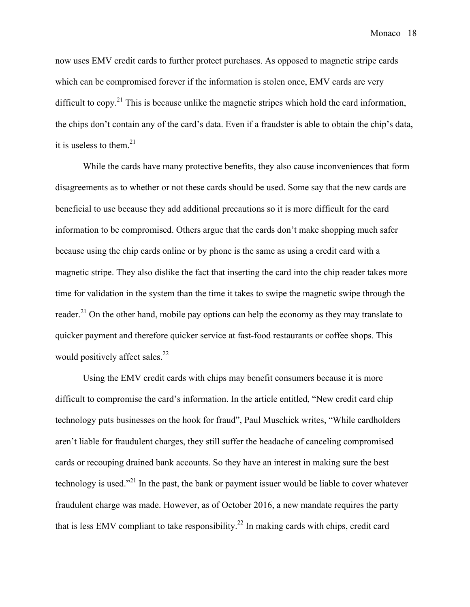now uses EMV credit cards to further protect purchases. As opposed to magnetic stripe cards which can be compromised forever if the information is stolen once, EMV cards are very difficult to copy.<sup>21</sup> This is because unlike the magnetic stripes which hold the card information, the chips don't contain any of the card's data. Even if a fraudster is able to obtain the chip's data, it is useless to them. 21

While the cards have many protective benefits, they also cause inconveniences that form disagreements as to whether or not these cards should be used. Some say that the new cards are beneficial to use because they add additional precautions so it is more difficult for the card information to be compromised. Others argue that the cards don't make shopping much safer because using the chip cards online or by phone is the same as using a credit card with a magnetic stripe. They also dislike the fact that inserting the card into the chip reader takes more time for validation in the system than the time it takes to swipe the magnetic swipe through the reader.<sup>21</sup> On the other hand, mobile pay options can help the economy as they may translate to quicker payment and therefore quicker service at fast-food restaurants or coffee shops. This would positively affect sales.<sup>22</sup>

Using the EMV credit cards with chips may benefit consumers because it is more difficult to compromise the card's information. In the article entitled, "New credit card chip technology puts businesses on the hook for fraud", Paul Muschick writes, "While cardholders aren't liable for fraudulent charges, they still suffer the headache of canceling compromised cards or recouping drained bank accounts. So they have an interest in making sure the best technology is used."<sup>21</sup> In the past, the bank or payment issuer would be liable to cover whatever fraudulent charge was made. However, as of October 2016, a new mandate requires the party that is less EMV compliant to take responsibility.<sup>22</sup> In making cards with chips, credit card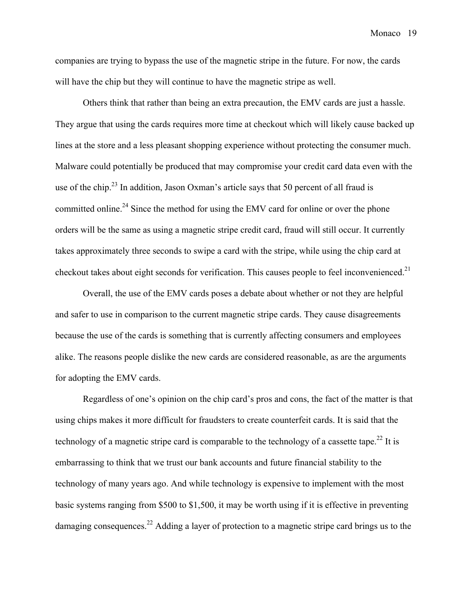companies are trying to bypass the use of the magnetic stripe in the future. For now, the cards will have the chip but they will continue to have the magnetic stripe as well.

Others think that rather than being an extra precaution, the EMV cards are just a hassle. They argue that using the cards requires more time at checkout which will likely cause backed up lines at the store and a less pleasant shopping experience without protecting the consumer much. Malware could potentially be produced that may compromise your credit card data even with the use of the chip.<sup>23</sup> In addition, Jason Oxman's article says that 50 percent of all fraud is committed online.<sup>24</sup> Since the method for using the EMV card for online or over the phone orders will be the same as using a magnetic stripe credit card, fraud will still occur. It currently takes approximately three seconds to swipe a card with the stripe, while using the chip card at checkout takes about eight seconds for verification. This causes people to feel inconvenienced.<sup>21</sup>

Overall, the use of the EMV cards poses a debate about whether or not they are helpful and safer to use in comparison to the current magnetic stripe cards. They cause disagreements because the use of the cards is something that is currently affecting consumers and employees alike. The reasons people dislike the new cards are considered reasonable, as are the arguments for adopting the EMV cards.

Regardless of one's opinion on the chip card's pros and cons, the fact of the matter is that using chips makes it more difficult for fraudsters to create counterfeit cards. It is said that the technology of a magnetic stripe card is comparable to the technology of a cassette tape.<sup>22</sup> It is embarrassing to think that we trust our bank accounts and future financial stability to the technology of many years ago. And while technology is expensive to implement with the most basic systems ranging from \$500 to \$1,500, it may be worth using if it is effective in preventing damaging consequences.<sup>22</sup> Adding a layer of protection to a magnetic stripe card brings us to the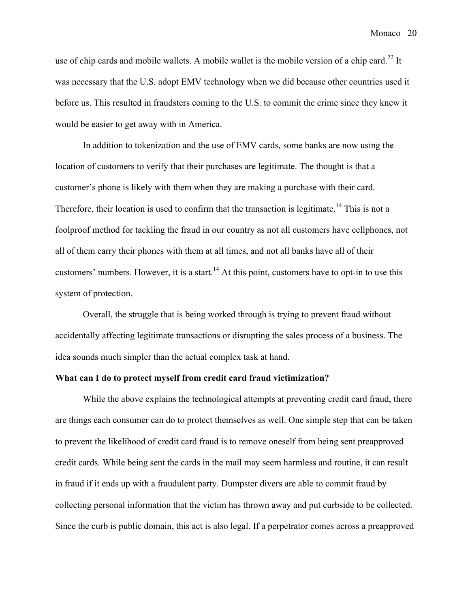use of chip cards and mobile wallets. A mobile wallet is the mobile version of a chip card.<sup>22</sup> It was necessary that the U.S. adopt EMV technology when we did because other countries used it before us. This resulted in fraudsters coming to the U.S. to commit the crime since they knew it would be easier to get away with in America.

In addition to tokenization and the use of EMV cards, some banks are now using the location of customers to verify that their purchases are legitimate. The thought is that a customer's phone is likely with them when they are making a purchase with their card. Therefore, their location is used to confirm that the transaction is legitimate.<sup>14</sup> This is not a foolproof method for tackling the fraud in our country as not all customers have cellphones, not all of them carry their phones with them at all times, and not all banks have all of their customers' numbers. However, it is a start.<sup>14</sup> At this point, customers have to opt-in to use this system of protection.

Overall, the struggle that is being worked through is trying to prevent fraud without accidentally affecting legitimate transactions or disrupting the sales process of a business. The idea sounds much simpler than the actual complex task at hand.

#### **What can I do to protect myself from credit card fraud victimization?**

While the above explains the technological attempts at preventing credit card fraud, there are things each consumer can do to protect themselves as well. One simple step that can be taken to prevent the likelihood of credit card fraud is to remove oneself from being sent preapproved credit cards. While being sent the cards in the mail may seem harmless and routine, it can result in fraud if it ends up with a fraudulent party. Dumpster divers are able to commit fraud by collecting personal information that the victim has thrown away and put curbside to be collected. Since the curb is public domain, this act is also legal. If a perpetrator comes across a preapproved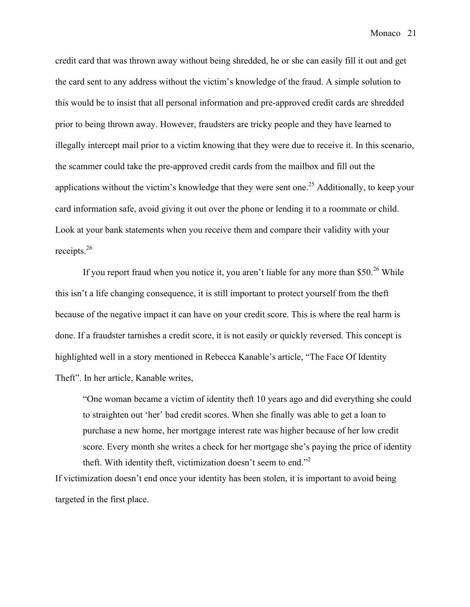credit card that was thrown away without being shredded, he or she can easily fill it out and get the card sent to any address without the victim's knowledge of the fraud. A simple solution to this would be to insist that all personal information and pre-approved credit cards are shredded prior to being thrown away. However, fraudsters are tricky people and they have learned to illegally intercept mail prior to a victim knowing that they were due to receive it. In this scenario, the scammer could take the pre-approved credit cards from the mailbox and fill out the applications without the victim's knowledge that they were sent one.<sup>25</sup> Additionally, to keep your card information safe, avoid giving it out over the phone or lending it to a roommate or child. Look at your bank statements when you receive them and compare their validity with your receipts. 26

If you report fraud when you notice it, you aren't liable for any more than \$50.<sup>26</sup> While this isn't a life changing consequence, it is still important to protect yourself from the theft because of the negative impact it can have on your credit score. This is where the real harm is done. If a fraudster tarnishes a credit score, it is not easily or quickly reversed. This concept is highlighted well in a story mentioned in Rebecca Kanable's article, "The Face Of Identity Theft". In her article, Kanable writes,

"One woman became a victim of identity theft 10 years ago and did everything she could to straighten out 'her' bad credit scores. When she finally was able to get a loan to purchase a new home, her mortgage interest rate was higher because of her low credit score. Every month she writes a check for her mortgage she's paying the price of identity theft. With identity theft, victimization doesn't seem to end."<sup>2</sup>

If victimization doesn't end once your identity has been stolen, it is important to avoid being targeted in the first place.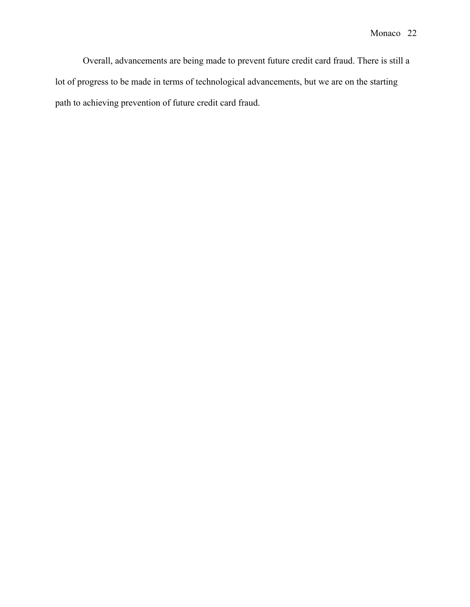Overall, advancements are being made to prevent future credit card fraud. There is still a lot of progress to be made in terms of technological advancements, but we are on the starting path to achieving prevention of future credit card fraud.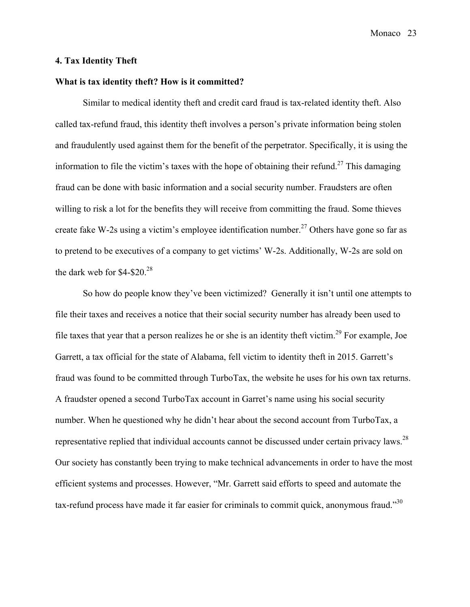#### **4. Tax Identity Theft**

### **What is tax identity theft? How is it committed?**

Similar to medical identity theft and credit card fraud is tax-related identity theft. Also called tax-refund fraud, this identity theft involves a person's private information being stolen and fraudulently used against them for the benefit of the perpetrator. Specifically, it is using the information to file the victim's taxes with the hope of obtaining their refund.<sup>27</sup> This damaging fraud can be done with basic information and a social security number. Fraudsters are often willing to risk a lot for the benefits they will receive from committing the fraud. Some thieves create fake W-2s using a victim's employee identification number.<sup>27</sup> Others have gone so far as to pretend to be executives of a company to get victims' W-2s. Additionally, W-2s are sold on the dark web for  $$4-\$20.<sup>28</sup>$ 

So how do people know they've been victimized? Generally it isn't until one attempts to file their taxes and receives a notice that their social security number has already been used to file taxes that year that a person realizes he or she is an identity theft victim.<sup>29</sup> For example, Joe Garrett, a tax official for the state of Alabama, fell victim to identity theft in 2015. Garrett's fraud was found to be committed through TurboTax, the website he uses for his own tax returns. A fraudster opened a second TurboTax account in Garret's name using his social security number. When he questioned why he didn't hear about the second account from TurboTax, a representative replied that individual accounts cannot be discussed under certain privacy laws.<sup>28</sup> Our society has constantly been trying to make technical advancements in order to have the most efficient systems and processes. However, "Mr. Garrett said efforts to speed and automate the tax-refund process have made it far easier for criminals to commit quick, anonymous fraud."  $30$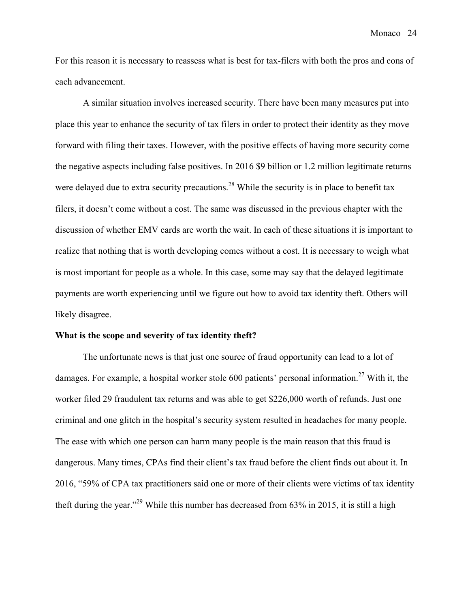For this reason it is necessary to reassess what is best for tax-filers with both the pros and cons of each advancement.

A similar situation involves increased security. There have been many measures put into place this year to enhance the security of tax filers in order to protect their identity as they move forward with filing their taxes. However, with the positive effects of having more security come the negative aspects including false positives. In 2016 \$9 billion or 1.2 million legitimate returns were delayed due to extra security precautions.<sup>28</sup> While the security is in place to benefit tax filers, it doesn't come without a cost. The same was discussed in the previous chapter with the discussion of whether EMV cards are worth the wait. In each of these situations it is important to realize that nothing that is worth developing comes without a cost. It is necessary to weigh what is most important for people as a whole. In this case, some may say that the delayed legitimate payments are worth experiencing until we figure out how to avoid tax identity theft. Others will likely disagree.

#### **What is the scope and severity of tax identity theft?**

The unfortunate news is that just one source of fraud opportunity can lead to a lot of damages. For example, a hospital worker stole 600 patients' personal information.<sup>27</sup> With it, the worker filed 29 fraudulent tax returns and was able to get \$226,000 worth of refunds. Just one criminal and one glitch in the hospital's security system resulted in headaches for many people. The ease with which one person can harm many people is the main reason that this fraud is dangerous. Many times, CPAs find their client's tax fraud before the client finds out about it. In 2016, "59% of CPA tax practitioners said one or more of their clients were victims of tax identity theft during the year."29 While this number has decreased from 63% in 2015, it is still a high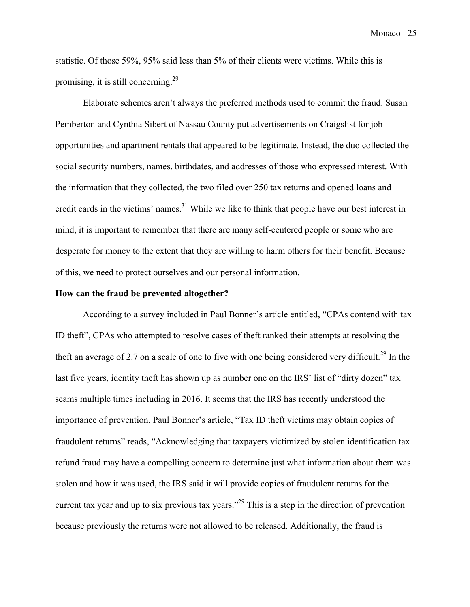statistic. Of those 59%, 95% said less than 5% of their clients were victims. While this is promising, it is still concerning.<sup>29</sup>

Elaborate schemes aren't always the preferred methods used to commit the fraud. Susan Pemberton and Cynthia Sibert of Nassau County put advertisements on Craigslist for job opportunities and apartment rentals that appeared to be legitimate. Instead, the duo collected the social security numbers, names, birthdates, and addresses of those who expressed interest. With the information that they collected, the two filed over 250 tax returns and opened loans and credit cards in the victims' names.<sup>31</sup> While we like to think that people have our best interest in mind, it is important to remember that there are many self-centered people or some who are desperate for money to the extent that they are willing to harm others for their benefit. Because of this, we need to protect ourselves and our personal information.

#### **How can the fraud be prevented altogether?**

According to a survey included in Paul Bonner's article entitled, "CPAs contend with tax ID theft", CPAs who attempted to resolve cases of theft ranked their attempts at resolving the theft an average of 2.7 on a scale of one to five with one being considered very difficult.<sup>29</sup> In the last five years, identity theft has shown up as number one on the IRS' list of "dirty dozen" tax scams multiple times including in 2016. It seems that the IRS has recently understood the importance of prevention. Paul Bonner's article, "Tax ID theft victims may obtain copies of fraudulent returns" reads, "Acknowledging that taxpayers victimized by stolen identification tax refund fraud may have a compelling concern to determine just what information about them was stolen and how it was used, the IRS said it will provide copies of fraudulent returns for the current tax year and up to six previous tax years.<sup> $22$ </sup> This is a step in the direction of prevention because previously the returns were not allowed to be released. Additionally, the fraud is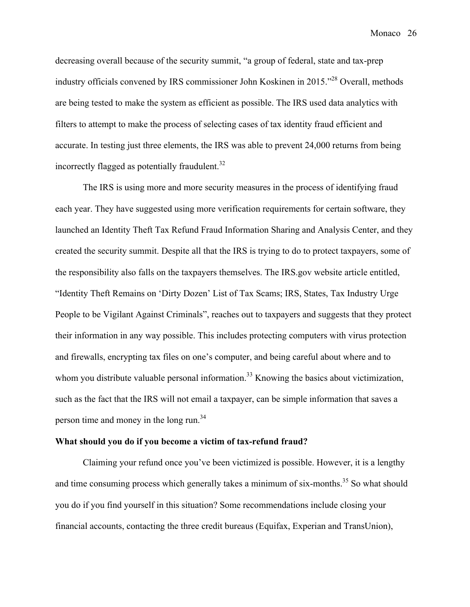decreasing overall because of the security summit, "a group of federal, state and tax-prep industry officials convened by IRS commissioner John Koskinen in 2015."<sup>28</sup> Overall, methods are being tested to make the system as efficient as possible. The IRS used data analytics with filters to attempt to make the process of selecting cases of tax identity fraud efficient and accurate. In testing just three elements, the IRS was able to prevent 24,000 returns from being incorrectly flagged as potentially fraudulent.<sup>32</sup>

The IRS is using more and more security measures in the process of identifying fraud each year. They have suggested using more verification requirements for certain software, they launched an Identity Theft Tax Refund Fraud Information Sharing and Analysis Center, and they created the security summit. Despite all that the IRS is trying to do to protect taxpayers, some of the responsibility also falls on the taxpayers themselves. The IRS.gov website article entitled, "Identity Theft Remains on 'Dirty Dozen' List of Tax Scams; IRS, States, Tax Industry Urge People to be Vigilant Against Criminals", reaches out to taxpayers and suggests that they protect their information in any way possible. This includes protecting computers with virus protection and firewalls, encrypting tax files on one's computer, and being careful about where and to whom you distribute valuable personal information.<sup>33</sup> Knowing the basics about victimization, such as the fact that the IRS will not email a taxpayer, can be simple information that saves a person time and money in the long run.<sup>34</sup>

#### **What should you do if you become a victim of tax-refund fraud?**

Claiming your refund once you've been victimized is possible. However, it is a lengthy and time consuming process which generally takes a minimum of six-months.<sup>35</sup> So what should you do if you find yourself in this situation? Some recommendations include closing your financial accounts, contacting the three credit bureaus (Equifax, Experian and TransUnion),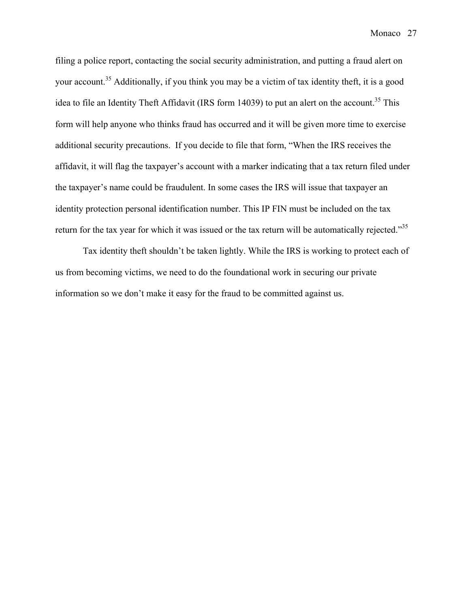filing a police report, contacting the social security administration, and putting a fraud alert on your account.<sup>35</sup> Additionally, if you think you may be a victim of tax identity theft, it is a good idea to file an Identity Theft Affidavit (IRS form 14039) to put an alert on the account.<sup>35</sup> This form will help anyone who thinks fraud has occurred and it will be given more time to exercise additional security precautions. If you decide to file that form, "When the IRS receives the affidavit, it will flag the taxpayer's account with a marker indicating that a tax return filed under the taxpayer's name could be fraudulent. In some cases the IRS will issue that taxpayer an identity protection personal identification number. This IP FIN must be included on the tax return for the tax year for which it was issued or the tax return will be automatically rejected."<sup>35</sup>

Tax identity theft shouldn't be taken lightly. While the IRS is working to protect each of us from becoming victims, we need to do the foundational work in securing our private information so we don't make it easy for the fraud to be committed against us.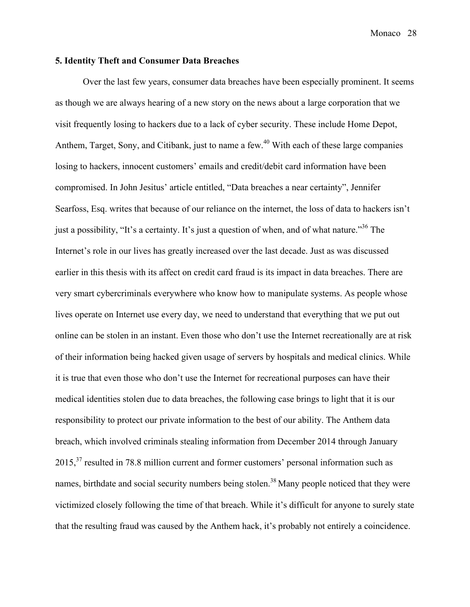#### **5. Identity Theft and Consumer Data Breaches**

Over the last few years, consumer data breaches have been especially prominent. It seems as though we are always hearing of a new story on the news about a large corporation that we visit frequently losing to hackers due to a lack of cyber security. These include Home Depot, Anthem, Target, Sony, and Citibank, just to name a few.<sup>40</sup> With each of these large companies losing to hackers, innocent customers' emails and credit/debit card information have been compromised. In John Jesitus' article entitled, "Data breaches a near certainty", Jennifer Searfoss, Esq. writes that because of our reliance on the internet, the loss of data to hackers isn't just a possibility, "It's a certainty. It's just a question of when, and of what nature."<sup>36</sup> The Internet's role in our lives has greatly increased over the last decade. Just as was discussed earlier in this thesis with its affect on credit card fraud is its impact in data breaches. There are very smart cybercriminals everywhere who know how to manipulate systems. As people whose lives operate on Internet use every day, we need to understand that everything that we put out online can be stolen in an instant. Even those who don't use the Internet recreationally are at risk of their information being hacked given usage of servers by hospitals and medical clinics. While it is true that even those who don't use the Internet for recreational purposes can have their medical identities stolen due to data breaches, the following case brings to light that it is our responsibility to protect our private information to the best of our ability. The Anthem data breach, which involved criminals stealing information from December 2014 through January  $2015$ ,<sup>37</sup> resulted in 78.8 million current and former customers' personal information such as names, birthdate and social security numbers being stolen.<sup>38</sup> Many people noticed that they were victimized closely following the time of that breach. While it's difficult for anyone to surely state that the resulting fraud was caused by the Anthem hack, it's probably not entirely a coincidence.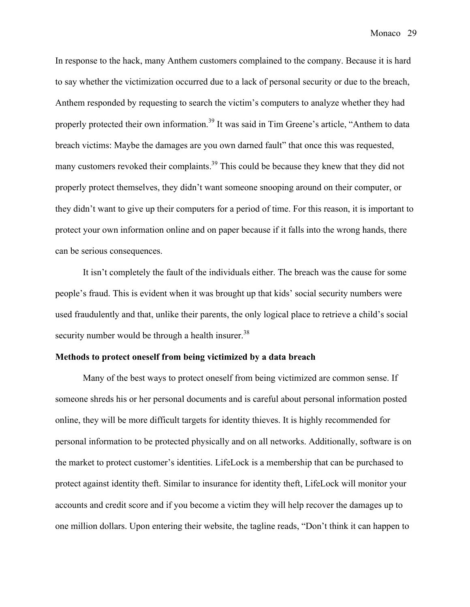In response to the hack, many Anthem customers complained to the company. Because it is hard to say whether the victimization occurred due to a lack of personal security or due to the breach, Anthem responded by requesting to search the victim's computers to analyze whether they had properly protected their own information.<sup>39</sup> It was said in Tim Greene's article, "Anthem to data breach victims: Maybe the damages are you own darned fault" that once this was requested, many customers revoked their complaints.<sup>39</sup> This could be because they knew that they did not properly protect themselves, they didn't want someone snooping around on their computer, or they didn't want to give up their computers for a period of time. For this reason, it is important to protect your own information online and on paper because if it falls into the wrong hands, there can be serious consequences.

It isn't completely the fault of the individuals either. The breach was the cause for some people's fraud. This is evident when it was brought up that kids' social security numbers were used fraudulently and that, unlike their parents, the only logical place to retrieve a child's social security number would be through a health insurer.<sup>38</sup>

#### **Methods to protect oneself from being victimized by a data breach**

Many of the best ways to protect oneself from being victimized are common sense. If someone shreds his or her personal documents and is careful about personal information posted online, they will be more difficult targets for identity thieves. It is highly recommended for personal information to be protected physically and on all networks. Additionally, software is on the market to protect customer's identities. LifeLock is a membership that can be purchased to protect against identity theft. Similar to insurance for identity theft, LifeLock will monitor your accounts and credit score and if you become a victim they will help recover the damages up to one million dollars. Upon entering their website, the tagline reads, "Don't think it can happen to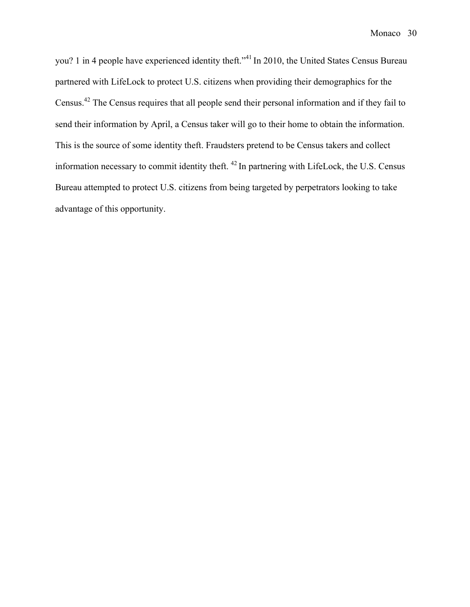you? 1 in 4 people have experienced identity theft."<sup>41</sup> In 2010, the United States Census Bureau partnered with LifeLock to protect U.S. citizens when providing their demographics for the Census.42 The Census requires that all people send their personal information and if they fail to send their information by April, a Census taker will go to their home to obtain the information. This is the source of some identity theft. Fraudsters pretend to be Census takers and collect information necessary to commit identity theft. <sup>42</sup> In partnering with LifeLock, the U.S. Census Bureau attempted to protect U.S. citizens from being targeted by perpetrators looking to take advantage of this opportunity.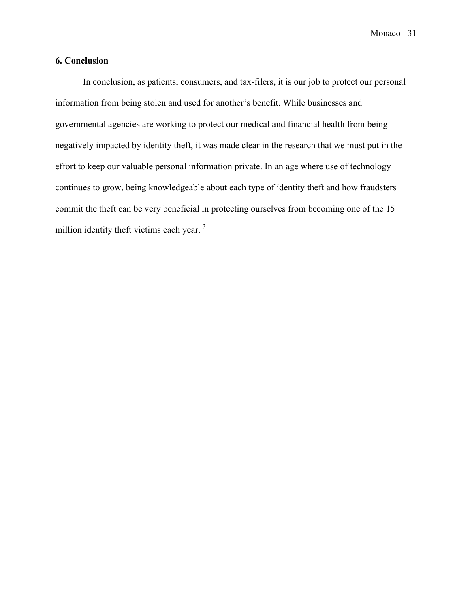## **6. Conclusion**

In conclusion, as patients, consumers, and tax-filers, it is our job to protect our personal information from being stolen and used for another's benefit. While businesses and governmental agencies are working to protect our medical and financial health from being negatively impacted by identity theft, it was made clear in the research that we must put in the effort to keep our valuable personal information private. In an age where use of technology continues to grow, being knowledgeable about each type of identity theft and how fraudsters commit the theft can be very beneficial in protecting ourselves from becoming one of the 15 million identity theft victims each year.<sup>3</sup>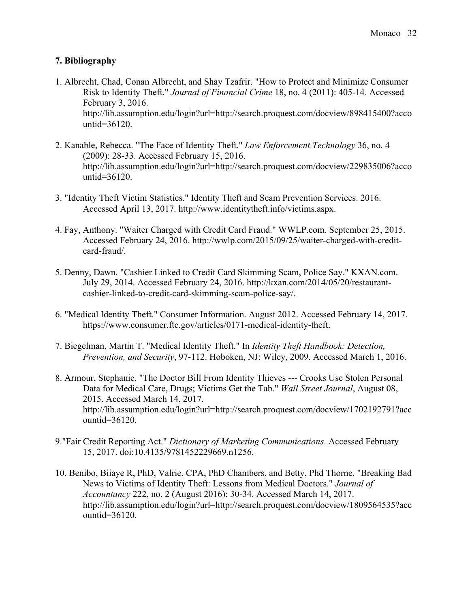# **7. Bibliography**

- 1. Albrecht, Chad, Conan Albrecht, and Shay Tzafrir. "How to Protect and Minimize Consumer Risk to Identity Theft." *Journal of Financial Crime* 18, no. 4 (2011): 405-14. Accessed February 3, 2016. http://lib.assumption.edu/login?url=http://search.proquest.com/docview/898415400?acco untid=36120.
- 2. Kanable, Rebecca. "The Face of Identity Theft." *Law Enforcement Technology* 36, no. 4 (2009): 28-33. Accessed February 15, 2016. http://lib.assumption.edu/login?url=http://search.proquest.com/docview/229835006?acco untid=36120.
- 3. "Identity Theft Victim Statistics." Identity Theft and Scam Prevention Services. 2016. Accessed April 13, 2017. http://www.identitytheft.info/victims.aspx.
- 4. Fay, Anthony. "Waiter Charged with Credit Card Fraud." WWLP.com. September 25, 2015. Accessed February 24, 2016. http://wwlp.com/2015/09/25/waiter-charged-with-creditcard-fraud/.
- 5. Denny, Dawn. "Cashier Linked to Credit Card Skimming Scam, Police Say." KXAN.com. July 29, 2014. Accessed February 24, 2016. http://kxan.com/2014/05/20/restaurantcashier-linked-to-credit-card-skimming-scam-police-say/.
- 6. "Medical Identity Theft." Consumer Information. August 2012. Accessed February 14, 2017. https://www.consumer.ftc.gov/articles/0171-medical-identity-theft.
- 7. Biegelman, Martin T. "Medical Identity Theft." In *Identity Theft Handbook: Detection, Prevention, and Security*, 97-112. Hoboken, NJ: Wiley, 2009. Accessed March 1, 2016.
- 8. Armour, Stephanie. "The Doctor Bill From Identity Thieves --- Crooks Use Stolen Personal Data for Medical Care, Drugs; Victims Get the Tab." *Wall Street Journal*, August 08, 2015. Accessed March 14, 2017. http://lib.assumption.edu/login?url=http://search.proquest.com/docview/1702192791?acc ountid=36120.
- 9."Fair Credit Reporting Act." *Dictionary of Marketing Communications*. Accessed February 15, 2017. doi:10.4135/9781452229669.n1256.
- 10. Benibo, Biiaye R, PhD, Valrie, CPA, PhD Chambers, and Betty, Phd Thorne. "Breaking Bad News to Victims of Identity Theft: Lessons from Medical Doctors." *Journal of Accountancy* 222, no. 2 (August 2016): 30-34. Accessed March 14, 2017. http://lib.assumption.edu/login?url=http://search.proquest.com/docview/1809564535?acc ountid=36120.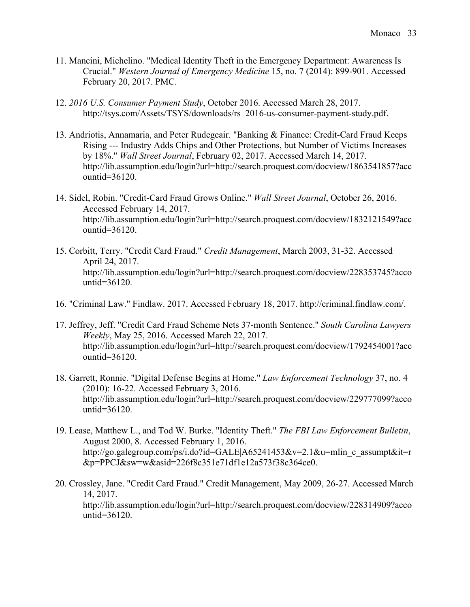- 11. Mancini, Michelino. "Medical Identity Theft in the Emergency Department: Awareness Is Crucial." *Western Journal of Emergency Medicine* 15, no. 7 (2014): 899-901. Accessed February 20, 2017. PMC.
- 12. *2016 U.S. Consumer Payment Study*, October 2016. Accessed March 28, 2017. http://tsys.com/Assets/TSYS/downloads/rs\_2016-us-consumer-payment-study.pdf.
- 13. Andriotis, Annamaria, and Peter Rudegeair. "Banking & Finance: Credit-Card Fraud Keeps Rising --- Industry Adds Chips and Other Protections, but Number of Victims Increases by 18%." *Wall Street Journal*, February 02, 2017. Accessed March 14, 2017. http://lib.assumption.edu/login?url=http://search.proquest.com/docview/1863541857?acc ountid=36120.
- 14. Sidel, Robin. "Credit-Card Fraud Grows Online." *Wall Street Journal*, October 26, 2016. Accessed February 14, 2017. http://lib.assumption.edu/login?url=http://search.proquest.com/docview/1832121549?acc ountid=36120.
- 15. Corbitt, Terry. "Credit Card Fraud." *Credit Management*, March 2003, 31-32. Accessed April 24, 2017. http://lib.assumption.edu/login?url=http://search.proquest.com/docview/228353745?acco untid=36120.
- 16. "Criminal Law." Findlaw. 2017. Accessed February 18, 2017. http://criminal.findlaw.com/.
- 17. Jeffrey, Jeff. "Credit Card Fraud Scheme Nets 37-month Sentence." *South Carolina Lawyers Weekly*, May 25, 2016. Accessed March 22, 2017. http://lib.assumption.edu/login?url=http://search.proquest.com/docview/1792454001?acc ountid=36120.
- 18. Garrett, Ronnie. "Digital Defense Begins at Home." *Law Enforcement Technology* 37, no. 4 (2010): 16-22. Accessed February 3, 2016. http://lib.assumption.edu/login?url=http://search.proquest.com/docview/229777099?acco untid=36120.
- 19. Lease, Matthew L., and Tod W. Burke. "Identity Theft." *The FBI Law Enforcement Bulletin*, August 2000, 8. Accessed February 1, 2016. http://go.galegroup.com/ps/i.do?id=GALE|A65241453&v=2.1&u=mlin\_c\_assumpt&it=r &p=PPCJ&sw=w&asid=226f8c351e71df1e12a573f38c364ce0.
- 20. Crossley, Jane. "Credit Card Fraud." Credit Management, May 2009, 26-27. Accessed March 14, 2017. http://lib.assumption.edu/login?url=http://search.proquest.com/docview/228314909?acco untid=36120.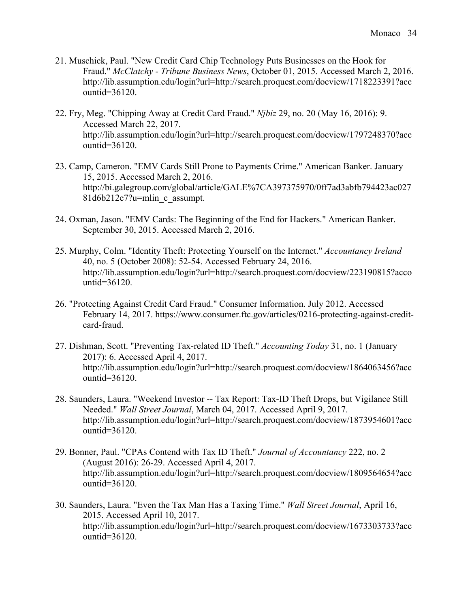- 21. Muschick, Paul. "New Credit Card Chip Technology Puts Businesses on the Hook for Fraud." *McClatchy - Tribune Business News*, October 01, 2015. Accessed March 2, 2016. http://lib.assumption.edu/login?url=http://search.proquest.com/docview/1718223391?acc ountid=36120.
- 22. Fry, Meg. "Chipping Away at Credit Card Fraud." *Njbiz* 29, no. 20 (May 16, 2016): 9. Accessed March 22, 2017. http://lib.assumption.edu/login?url=http://search.proquest.com/docview/1797248370?acc ountid=36120.
- 23. Camp, Cameron. "EMV Cards Still Prone to Payments Crime." American Banker. January 15, 2015. Accessed March 2, 2016. http://bi.galegroup.com/global/article/GALE%7CA397375970/0ff7ad3abfb794423ac027 81d6b212e7?u=mlin\_c\_assumpt.
- 24. Oxman, Jason. "EMV Cards: The Beginning of the End for Hackers." American Banker. September 30, 2015. Accessed March 2, 2016.
- 25. Murphy, Colm. "Identity Theft: Protecting Yourself on the Internet." *Accountancy Ireland* 40, no. 5 (October 2008): 52-54. Accessed February 24, 2016. http://lib.assumption.edu/login?url=http://search.proquest.com/docview/223190815?acco untid=36120.
- 26. "Protecting Against Credit Card Fraud." Consumer Information. July 2012. Accessed February 14, 2017. https://www.consumer.ftc.gov/articles/0216-protecting-against-creditcard-fraud.
- 27. Dishman, Scott. "Preventing Tax-related ID Theft." *Accounting Today* 31, no. 1 (January 2017): 6. Accessed April 4, 2017. http://lib.assumption.edu/login?url=http://search.proquest.com/docview/1864063456?acc ountid=36120.
- 28. Saunders, Laura. "Weekend Investor -- Tax Report: Tax-ID Theft Drops, but Vigilance Still Needed." *Wall Street Journal*, March 04, 2017. Accessed April 9, 2017. http://lib.assumption.edu/login?url=http://search.proquest.com/docview/1873954601?acc ountid=36120.
- 29. Bonner, Paul. "CPAs Contend with Tax ID Theft." *Journal of Accountancy* 222, no. 2 (August 2016): 26-29. Accessed April 4, 2017. http://lib.assumption.edu/login?url=http://search.proquest.com/docview/1809564654?acc ountid=36120.
- 30. Saunders, Laura. "Even the Tax Man Has a Taxing Time." *Wall Street Journal*, April 16, 2015. Accessed April 10, 2017. http://lib.assumption.edu/login?url=http://search.proquest.com/docview/1673303733?acc ountid=36120.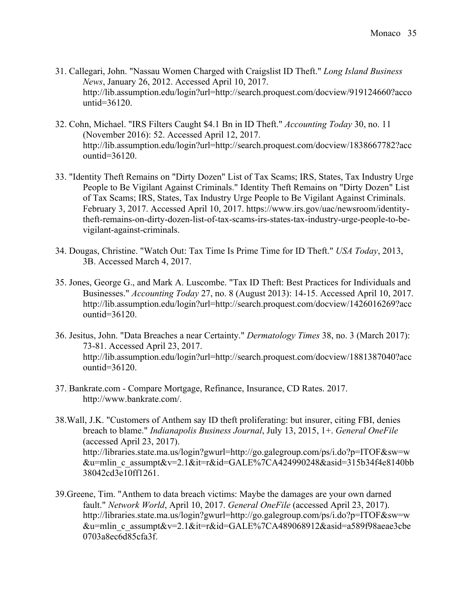- 31. Callegari, John. "Nassau Women Charged with Craigslist ID Theft." *Long Island Business News*, January 26, 2012. Accessed April 10, 2017. http://lib.assumption.edu/login?url=http://search.proquest.com/docview/919124660?acco untid=36120.
- 32. Cohn, Michael. "IRS Filters Caught \$4.1 Bn in ID Theft." *Accounting Today* 30, no. 11 (November 2016): 52. Accessed April 12, 2017. http://lib.assumption.edu/login?url=http://search.proquest.com/docview/1838667782?acc ountid=36120.
- 33. "Identity Theft Remains on "Dirty Dozen" List of Tax Scams; IRS, States, Tax Industry Urge People to Be Vigilant Against Criminals." Identity Theft Remains on "Dirty Dozen" List of Tax Scams; IRS, States, Tax Industry Urge People to Be Vigilant Against Criminals. February 3, 2017. Accessed April 10, 2017. https://www.irs.gov/uac/newsroom/identitytheft-remains-on-dirty-dozen-list-of-tax-scams-irs-states-tax-industry-urge-people-to-bevigilant-against-criminals.
- 34. Dougas, Christine. "Watch Out: Tax Time Is Prime Time for ID Theft." *USA Today*, 2013, 3B. Accessed March 4, 2017.
- 35. Jones, George G., and Mark A. Luscombe. "Tax ID Theft: Best Practices for Individuals and Businesses." *Accounting Today* 27, no. 8 (August 2013): 14-15. Accessed April 10, 2017. http://lib.assumption.edu/login?url=http://search.proquest.com/docview/1426016269?acc ountid=36120.
- 36. Jesitus, John. "Data Breaches a near Certainty." *Dermatology Times* 38, no. 3 (March 2017): 73-81. Accessed April 23, 2017. http://lib.assumption.edu/login?url=http://search.proquest.com/docview/1881387040?acc ountid=36120.
- 37. Bankrate.com Compare Mortgage, Refinance, Insurance, CD Rates. 2017. http://www.bankrate.com/.
- 38.Wall, J.K. "Customers of Anthem say ID theft proliferating: but insurer, citing FBI, denies breach to blame." *Indianapolis Business Journal*, July 13, 2015, 1+. *General OneFile* (accessed April 23, 2017). http://libraries.state.ma.us/login?gwurl=http://go.galegroup.com/ps/i.do?p=ITOF&sw=w &u=mlin\_c\_assumpt&v=2.1&it=r&id=GALE%7CA424990248&asid=315b34f4e8140bb 38042cd3e10ff1261.
- 39.Greene, Tim. "Anthem to data breach victims: Maybe the damages are your own darned fault." *Network World*, April 10, 2017. *General OneFile* (accessed April 23, 2017). http://libraries.state.ma.us/login?gwurl=http://go.galegroup.com/ps/i.do?p=ITOF&sw=w &u=mlin\_c\_assumpt&v=2.1&it=r&id=GALE%7CA489068912&asid=a589f98aeae3cbe 0703a8ec6d85cfa3f.